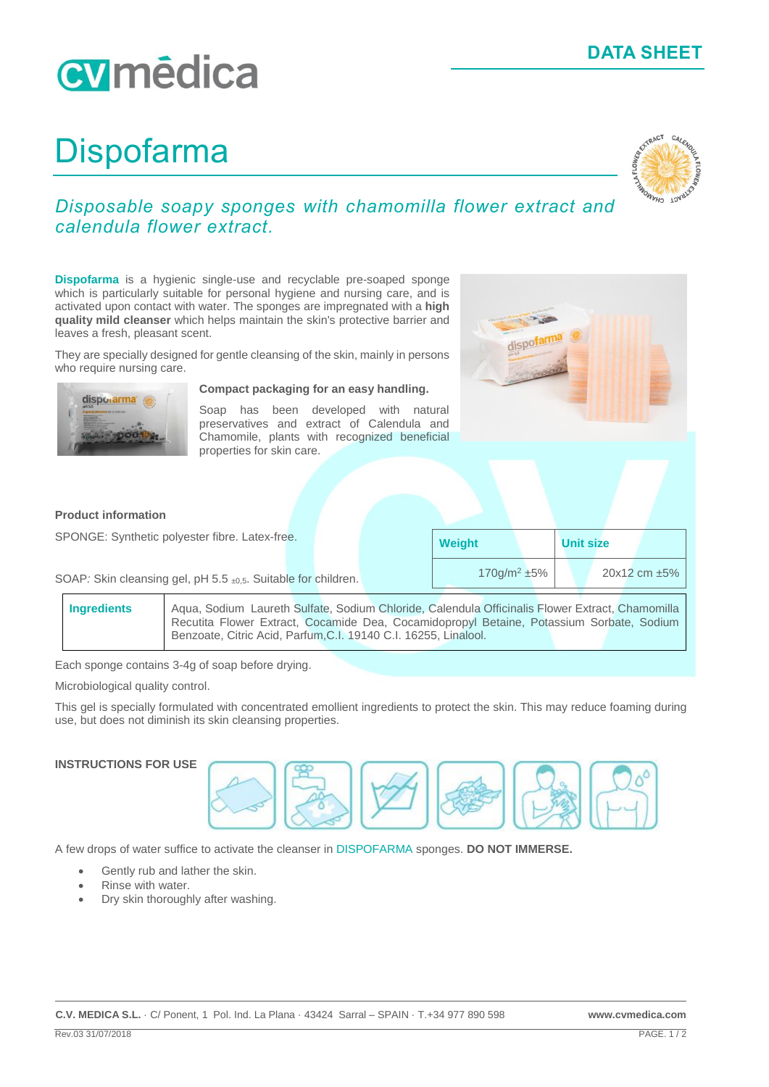## **DATA SHEET**

# cymédica

# Dispofarma



### *Disposable soapy sponges with chamomilla flower extract and calendula flower extract.*

**Dispofarma** is a hygienic single-use and recyclable pre-soaped sponge which is particularly suitable for personal hygiene and nursing care, and is activated upon contact with water. The sponges are impregnated with a **high quality mild cleanser** which helps maintain the skin's protective barrier and leaves a fresh, pleasant scent.

They are specially designed for gentle cleansing of the skin, mainly in persons who require nursing care.



#### **Compact packaging for an easy handling.**

Soap has been developed with natural preservatives and extract of Calendula and Chamomile, plants with recognized beneficial properties for skin care.



#### **Product information**

SPONGE: Synthetic polyester fibre. Latex-free.

| <b>Weight</b>              |  | <b>Unit size</b> |  |                      |
|----------------------------|--|------------------|--|----------------------|
| $170$ g/m <sup>2</sup> ±5% |  |                  |  | $20x12$ cm $\pm 5\%$ |

SOAP: Skin cleansing gel, pH 5.5 ±0,5. Suitable for children.

| <b>Ingredients</b> | Aqua, Sodium Laureth Sulfate, Sodium Chloride, Calendula Officinalis Flower Extract, Chamomilla |  |  |  |
|--------------------|-------------------------------------------------------------------------------------------------|--|--|--|
|                    | Recutita Flower Extract, Cocamide Dea, Cocamidopropyl Betaine, Potassium Sorbate, Sodium        |  |  |  |
|                    | Benzoate, Citric Acid, Parfum, C.I. 19140 C.I. 16255, Linalool.                                 |  |  |  |

Each sponge contains 3-4g of soap before drying.

Microbiological quality control.

This gel is specially formulated with concentrated emollient ingredients to protect the skin. This may reduce foaming during use, but does not diminish its skin cleansing properties.

#### **INSTRUCTIONS FOR USE**



A few drops of water suffice to activate the cleanser in DISPOFARMA sponges. **DO NOT IMMERSE.**

- Gently rub and lather the skin.
- Rinse with water.
- Dry skin thoroughly after washing.